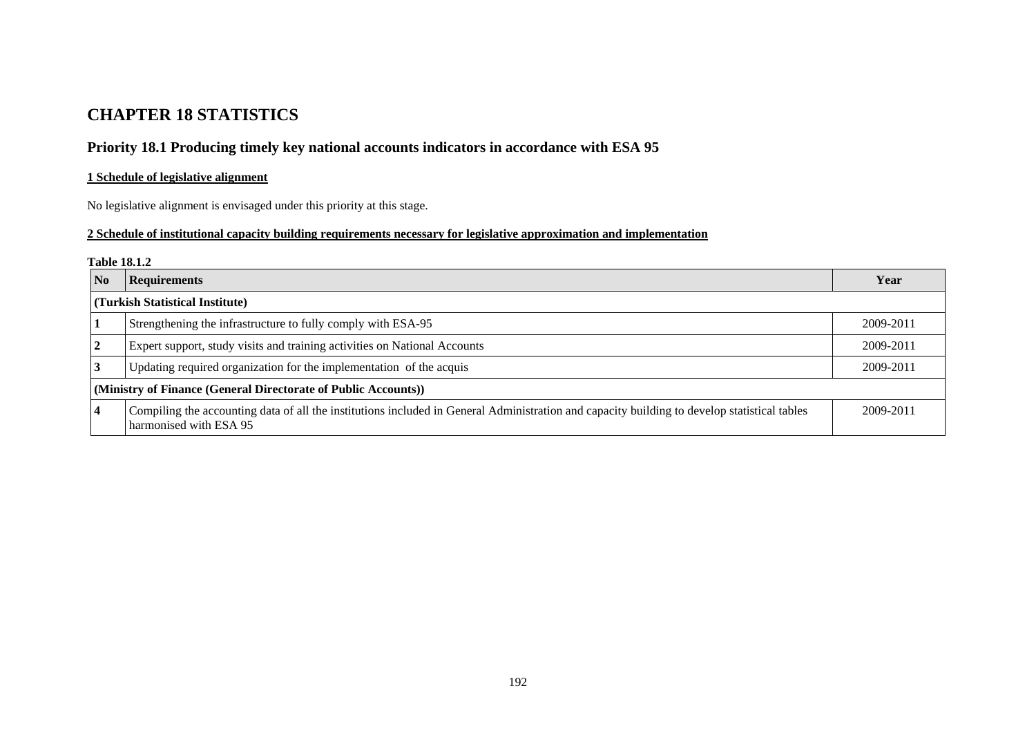# **CHAPTER 18 STATISTICS**

# **Priority 18.1 Producing timely key national accounts indicators in accordance with ESA 95**

## **1 Schedule of legislative alignment**

No legislative alignment is envisaged under this priority at this stage.

### **2 Schedule of institutional capacity building requirements necessary for legislative approximation and implementation**

#### **Table 18.1.2**

| No                                                                  | <b>Requirements</b>                                                                                                                                                    |           |  |  |
|---------------------------------------------------------------------|------------------------------------------------------------------------------------------------------------------------------------------------------------------------|-----------|--|--|
|                                                                     | (Turkish Statistical Institute)                                                                                                                                        |           |  |  |
|                                                                     | Strengthening the infrastructure to fully comply with ESA-95                                                                                                           | 2009-2011 |  |  |
| $\mathbf{2}$                                                        | Expert support, study visits and training activities on National Accounts                                                                                              |           |  |  |
| Updating required organization for the implementation of the acquis |                                                                                                                                                                        |           |  |  |
|                                                                     | (Ministry of Finance (General Directorate of Public Accounts))                                                                                                         |           |  |  |
|                                                                     | Compiling the accounting data of all the institutions included in General Administration and capacity building to develop statistical tables<br>harmonised with ESA 95 | 2009-2011 |  |  |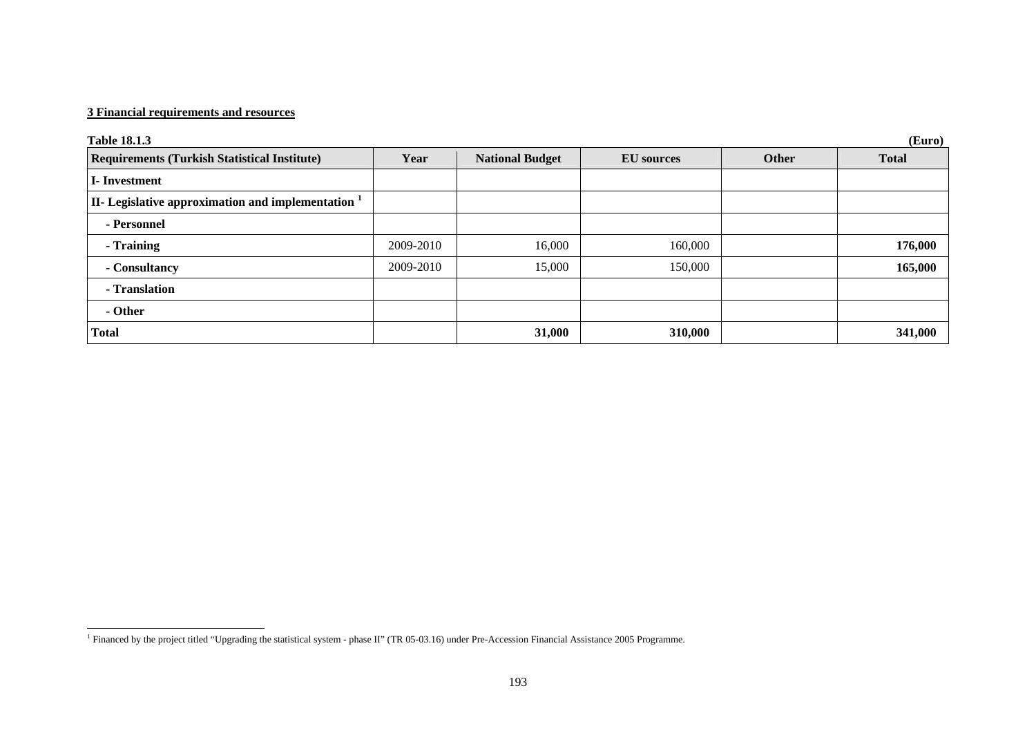| (Euro)<br><b>Table 18.1.3</b>                                    |           |                        |                   |              |              |  |
|------------------------------------------------------------------|-----------|------------------------|-------------------|--------------|--------------|--|
| <b>Requirements (Turkish Statistical Institute)</b>              | Year      | <b>National Budget</b> | <b>EU</b> sources | <b>Other</b> | <b>Total</b> |  |
| <b>I</b> -Investment                                             |           |                        |                   |              |              |  |
| II- Legislative approximation and implementation $^{\mathrm{1}}$ |           |                        |                   |              |              |  |
| - Personnel                                                      |           |                        |                   |              |              |  |
| - Training                                                       | 2009-2010 | 16,000                 | 160,000           |              | 176,000      |  |
| - Consultancy                                                    | 2009-2010 | 15,000                 | 150,000           |              | 165,000      |  |
| - Translation                                                    |           |                        |                   |              |              |  |
| - Other                                                          |           |                        |                   |              |              |  |
| <b>Total</b>                                                     |           | 31,000                 | 310,000           |              | 341,000      |  |

<span id="page-1-0"></span><sup>&</sup>lt;sup>1</sup> Financed by the project titled "Upgrading the statistical system - phase II" (TR 05-03.16) under Pre-Accession Financial Assistance 2005 Programme.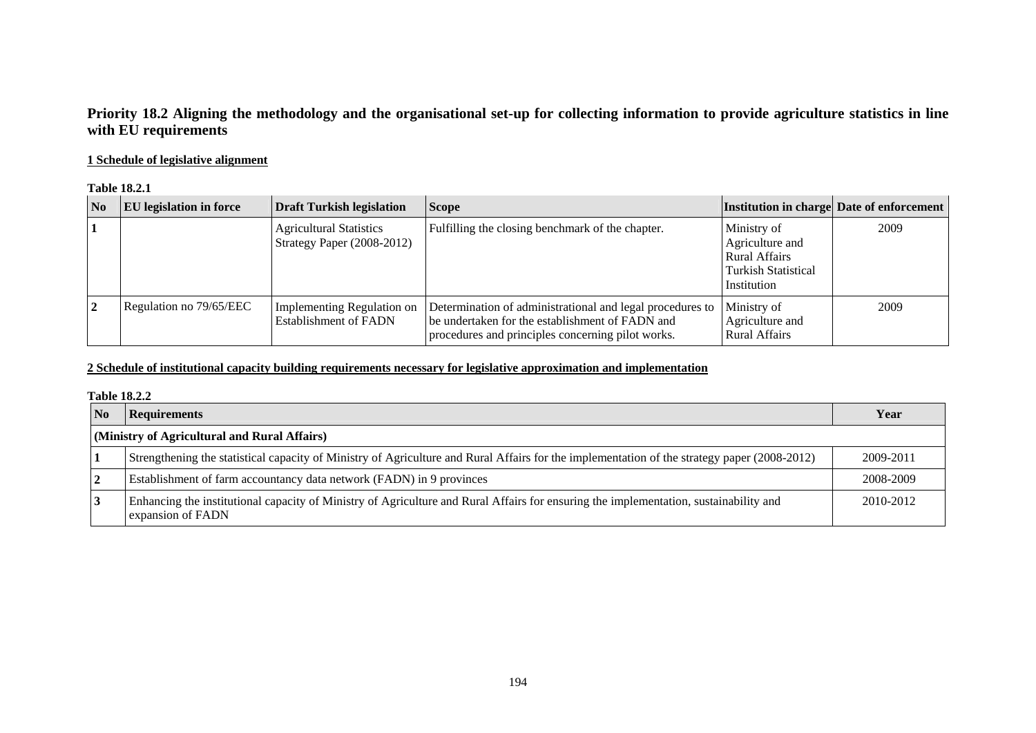## **Priority 18.2 Aligning the methodology and the organisational set-up for collecting information to provide agriculture statistics in line with EU requirements**

### **1 Schedule of legislative alignment**

#### **Table 18.2.1**

| $\overline{\text{No}}$ | <b>EU</b> legislation in force | <b>Draft Turkish legislation</b>                             | <b>Scope</b>                                                                                                                                                      |                                                                                                     | Institution in charge Date of enforcement |
|------------------------|--------------------------------|--------------------------------------------------------------|-------------------------------------------------------------------------------------------------------------------------------------------------------------------|-----------------------------------------------------------------------------------------------------|-------------------------------------------|
|                        |                                | <b>Agricultural Statistics</b><br>Strategy Paper (2008-2012) | Fulfilling the closing benchmark of the chapter.                                                                                                                  | Ministry of<br>Agriculture and<br><b>Rural Affairs</b><br><b>Turkish Statistical</b><br>Institution | 2009                                      |
|                        | Regulation no 79/65/EEC        | Implementing Regulation on<br><b>Establishment of FADN</b>   | Determination of administrational and legal procedures to<br>be undertaken for the establishment of FADN and<br>procedures and principles concerning pilot works. | Ministry of<br>Agriculture and<br><b>Rural Affairs</b>                                              | 2009                                      |

### **2 Schedule of institutional capacity building requirements necessary for legislative approximation and implementation**

#### **Table 18.2.2**

| $\overline{\text{No}}$ | <b>Requirements</b>                                                                                                                                        | Year      |
|------------------------|------------------------------------------------------------------------------------------------------------------------------------------------------------|-----------|
|                        | (Ministry of Agricultural and Rural Affairs)                                                                                                               |           |
|                        | Strengthening the statistical capacity of Ministry of Agriculture and Rural Affairs for the implementation of the strategy paper (2008-2012)               | 2009-2011 |
| $\mathbf{2}$           | Establishment of farm accountancy data network (FADN) in 9 provinces                                                                                       | 2008-2009 |
| $\mathbf{.3}$          | Enhancing the institutional capacity of Ministry of Agriculture and Rural Affairs for ensuring the implementation, sustainability and<br>expansion of FADN | 2010-2012 |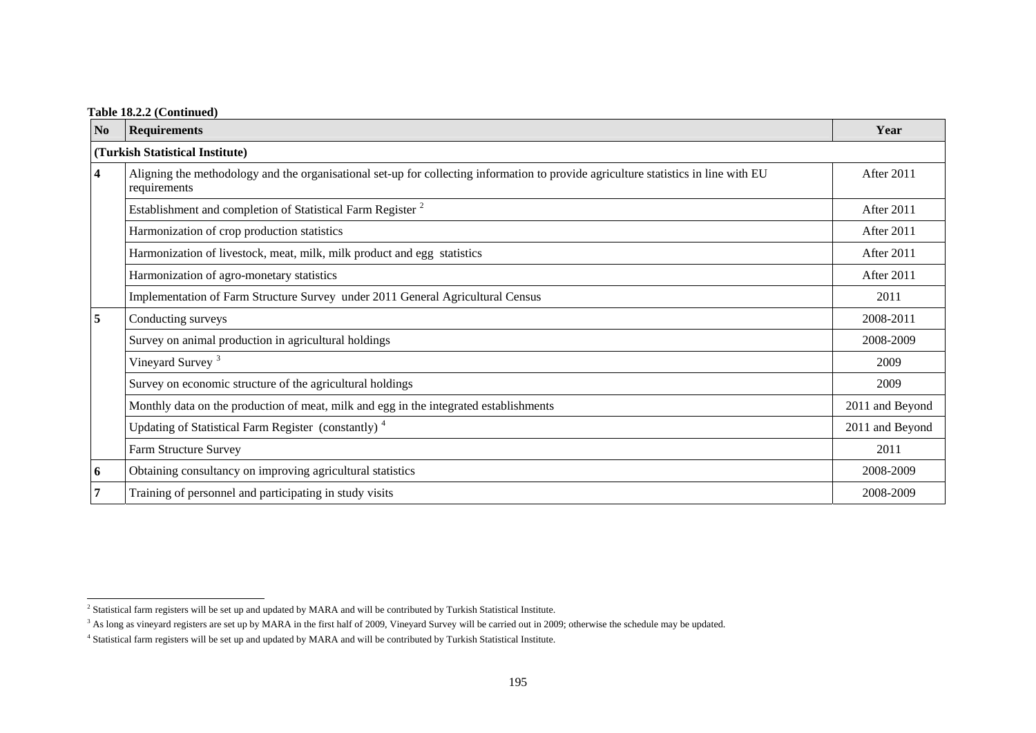### **Table 18.2.2 (Continued)**

| N <sub>0</sub>          | <b>Requirements</b>                                                                                                                                 | Year            |  |  |  |  |
|-------------------------|-----------------------------------------------------------------------------------------------------------------------------------------------------|-----------------|--|--|--|--|
|                         | (Turkish Statistical Institute)                                                                                                                     |                 |  |  |  |  |
| $\overline{\mathbf{4}}$ | Aligning the methodology and the organisational set-up for collecting information to provide agriculture statistics in line with EU<br>requirements | After 2011      |  |  |  |  |
|                         | Establishment and completion of Statistical Farm Register <sup>2</sup>                                                                              | After 2011      |  |  |  |  |
|                         | Harmonization of crop production statistics                                                                                                         | After 2011      |  |  |  |  |
|                         | Harmonization of livestock, meat, milk, milk product and egg statistics                                                                             | After 2011      |  |  |  |  |
|                         | Harmonization of agro-monetary statistics                                                                                                           | After 2011      |  |  |  |  |
|                         | Implementation of Farm Structure Survey under 2011 General Agricultural Census                                                                      | 2011            |  |  |  |  |
| 5                       | Conducting surveys                                                                                                                                  | 2008-2011       |  |  |  |  |
|                         | Survey on animal production in agricultural holdings                                                                                                | 2008-2009       |  |  |  |  |
|                         | Vineyard Survey <sup>3</sup>                                                                                                                        | 2009            |  |  |  |  |
|                         | Survey on economic structure of the agricultural holdings                                                                                           | 2009            |  |  |  |  |
|                         | Monthly data on the production of meat, milk and egg in the integrated establishments                                                               | 2011 and Beyond |  |  |  |  |
|                         | Updating of Statistical Farm Register (constantly) <sup>4</sup>                                                                                     | 2011 and Beyond |  |  |  |  |
|                         | Farm Structure Survey                                                                                                                               | 2011            |  |  |  |  |
| 6                       | Obtaining consultancy on improving agricultural statistics                                                                                          | 2008-2009       |  |  |  |  |
| $\overline{7}$          | Training of personnel and participating in study visits                                                                                             | 2008-2009       |  |  |  |  |

<span id="page-3-0"></span><sup>&</sup>lt;sup>2</sup> Statistical farm registers will be set up and updated by MARA and will be contributed by Turkish Statistical Institute.

<span id="page-3-1"></span><sup>&</sup>lt;sup>3</sup> As long as vineyard registers are set up by MARA in the first half of 2009, Vineyard Survey will be carried out in 2009; otherwise the schedule may be updated.

<span id="page-3-2"></span><sup>4</sup> Statistical farm registers will be set up and updated by MARA and will be contributed by Turkish Statistical Institute.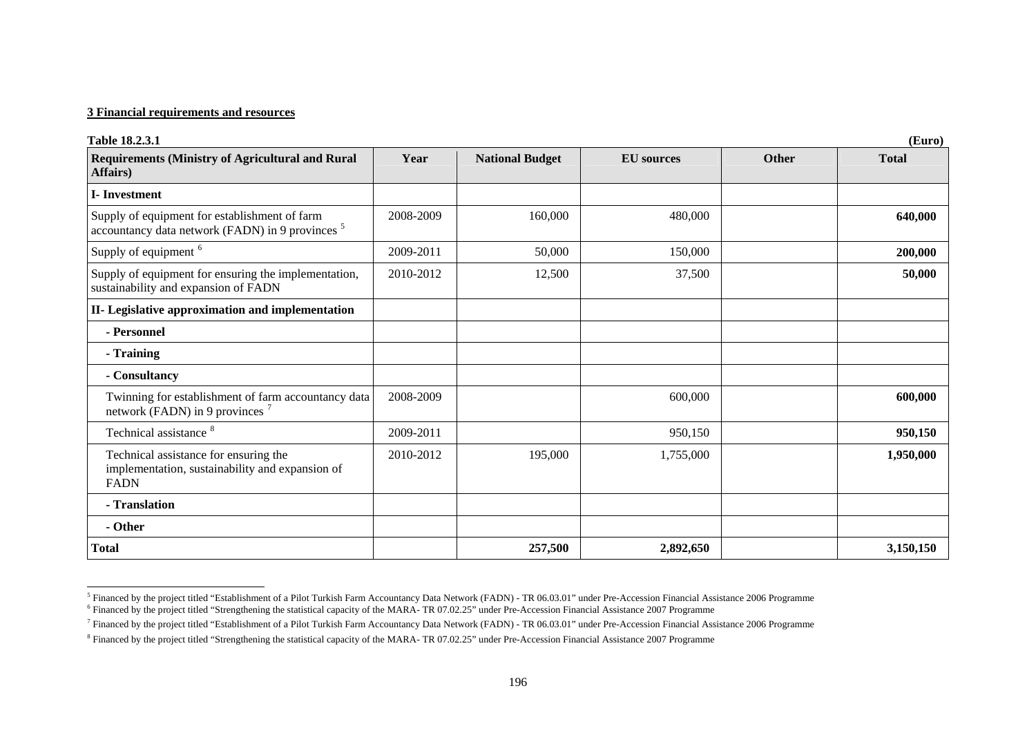| Table 18.2.3.1                                                                                               | (Euro)    |                        |                   |       |              |  |  |
|--------------------------------------------------------------------------------------------------------------|-----------|------------------------|-------------------|-------|--------------|--|--|
| <b>Requirements (Ministry of Agricultural and Rural</b><br>Affairs)                                          | Year      | <b>National Budget</b> | <b>EU</b> sources | Other | <b>Total</b> |  |  |
| <b>I</b> -Investment                                                                                         |           |                        |                   |       |              |  |  |
| Supply of equipment for establishment of farm<br>accountancy data network (FADN) in 9 provinces <sup>5</sup> | 2008-2009 | 160,000                | 480,000           |       | 640,000      |  |  |
| Supply of equipment <sup>6</sup>                                                                             | 2009-2011 | 50,000                 | 150,000           |       | 200,000      |  |  |
| Supply of equipment for ensuring the implementation,<br>sustainability and expansion of FADN                 | 2010-2012 | 12,500                 | 37,500            |       | 50,000       |  |  |
| II- Legislative approximation and implementation                                                             |           |                        |                   |       |              |  |  |
| - Personnel                                                                                                  |           |                        |                   |       |              |  |  |
| - Training                                                                                                   |           |                        |                   |       |              |  |  |
| - Consultancy                                                                                                |           |                        |                   |       |              |  |  |
| Twinning for establishment of farm accountancy data<br>network (FADN) in 9 provinces <sup>7</sup>            | 2008-2009 |                        | 600,000           |       | 600,000      |  |  |
| Technical assistance <sup>8</sup>                                                                            | 2009-2011 |                        | 950,150           |       | 950,150      |  |  |
| Technical assistance for ensuring the<br>implementation, sustainability and expansion of<br><b>FADN</b>      | 2010-2012 | 195,000                | 1,755,000         |       | 1,950,000    |  |  |
| - Translation                                                                                                |           |                        |                   |       |              |  |  |
| - Other                                                                                                      |           |                        |                   |       |              |  |  |
| Total                                                                                                        |           | 257,500                | 2,892,650         |       | 3,150,150    |  |  |

<span id="page-4-0"></span> $^5$  Financed by the project titled "Establishment of a Pilot Turkish Farm Accountancy Data Network (FADN) - TR 06.03.01" under Pre-Accession Financial Assistance 2006 Programme  $6$  Financed by the project titled "Strengthening the statistical capacity of the MARA-TR 07.02.25" under Pre-Accession Financial Assistance 2007 Programme

<span id="page-4-2"></span><span id="page-4-1"></span><sup>7</sup> Financed by the project titled "Establishment of a Pilot Turkish Farm Accountancy Data Network (FADN) - TR 06.03.01" under Pre-Accession Financial Assistance 2006 Programme

<span id="page-4-3"></span><sup>8</sup> Financed by the project titled "Strengthening the statistical capacity of the MARA- TR 07.02.25" under Pre-Accession Financial Assistance 2007 Programme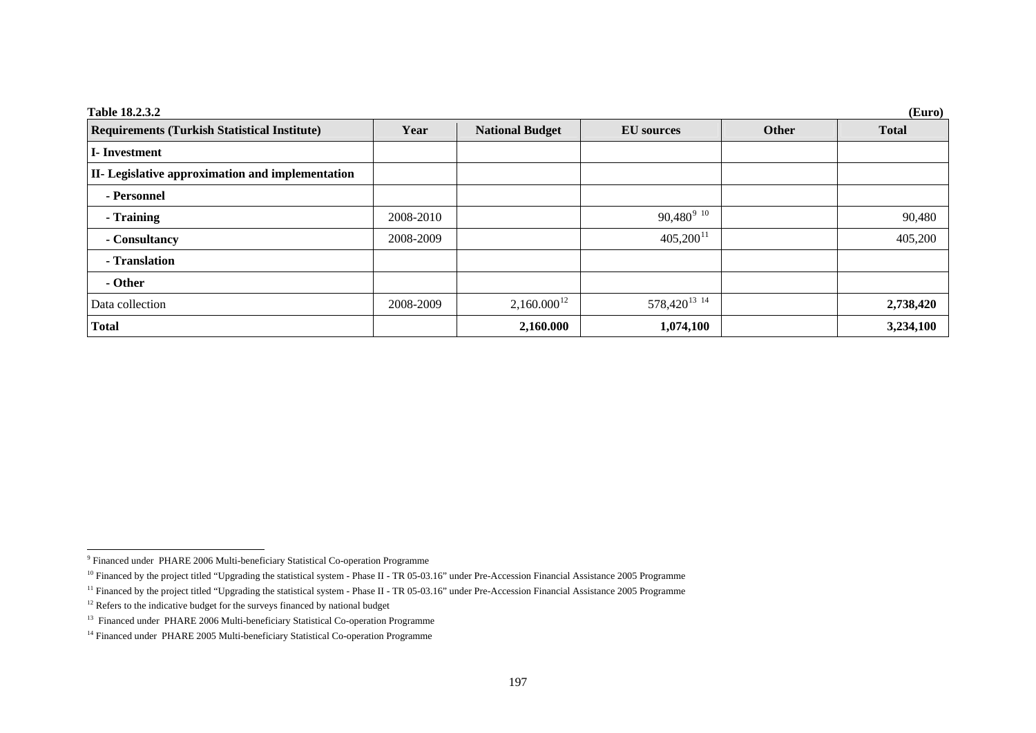| Table 18.2.3.2<br>(Euro)                            |           |                        |                                     |       |              |
|-----------------------------------------------------|-----------|------------------------|-------------------------------------|-------|--------------|
| <b>Requirements (Turkish Statistical Institute)</b> | Year      | <b>National Budget</b> | <b>EU</b> sources                   | Other | <b>Total</b> |
| <b>I</b> -Investment                                |           |                        |                                     |       |              |
| II- Legislative approximation and implementation    |           |                        |                                     |       |              |
| - Personnel                                         |           |                        |                                     |       |              |
| - Training                                          | 2008-2010 |                        | $90,480^{9}$ <sup>10</sup>          |       | 90,480       |
| - Consultancy                                       | 2008-2009 |                        | $405,200^{11}$                      |       | 405,200      |
| - Translation                                       |           |                        |                                     |       |              |
| - Other                                             |           |                        |                                     |       |              |
| Data collection                                     | 2008-2009 | $2,160.000^{12}$       | 578,420 <sup>13</sup> <sup>14</sup> |       | 2,738,420    |
| <b>Total</b>                                        |           | 2,160.000              | 1,074,100                           |       | 3,234,100    |

<span id="page-5-0"></span><sup>9</sup> Financed under PHARE 2006 Multi-beneficiary Statistical Co-operation Programme

<span id="page-5-1"></span><sup>&</sup>lt;sup>10</sup> Financed by the project titled "Upgrading the statistical system - Phase II - TR 05-03.16" under Pre-Accession Financial Assistance 2005 Programme

<span id="page-5-2"></span><sup>&</sup>lt;sup>11</sup> Financed by the project titled "Upgrading the statistical system - Phase II - TR 05-03.16" under Pre-Accession Financial Assistance 2005 Programme

<span id="page-5-3"></span><sup>&</sup>lt;sup>12</sup> Refers to the indicative budget for the surveys financed by national budget

<span id="page-5-4"></span><sup>&</sup>lt;sup>13</sup> Financed under PHARE 2006 Multi-beneficiary Statistical Co-operation Programme

<span id="page-5-5"></span><sup>&</sup>lt;sup>14</sup> Financed under PHARE 2005 Multi-beneficiary Statistical Co-operation Programme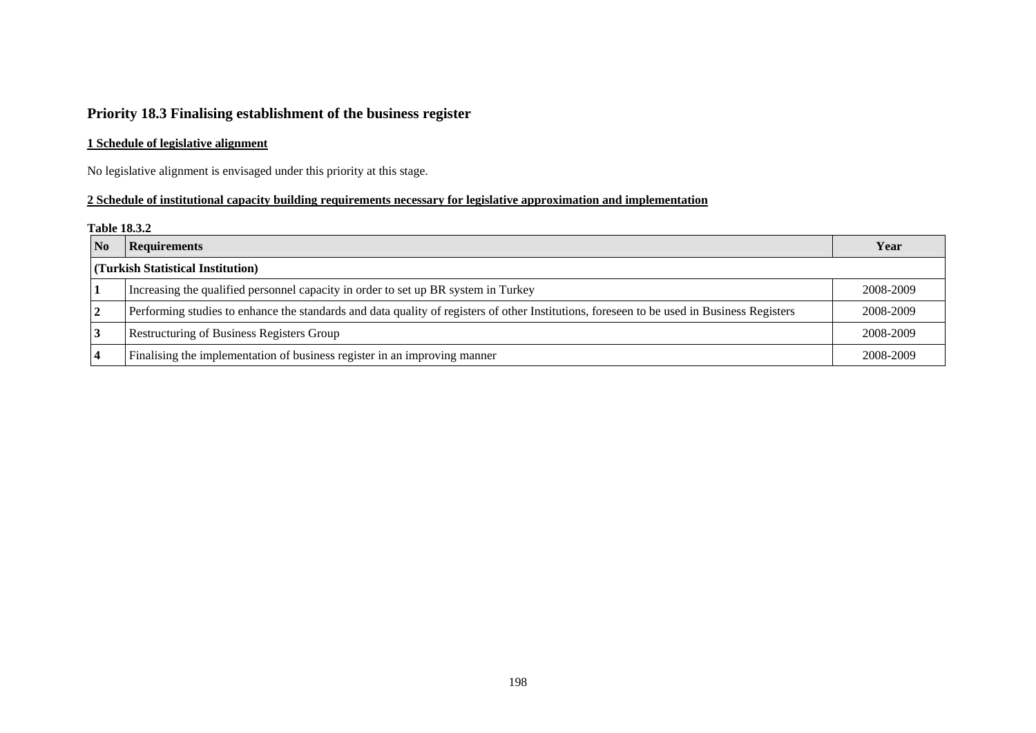# **Priority 18.3 Finalising establishment of the business register**

## **1 Schedule of legislative alignment**

No legislative alignment is envisaged under this priority at this stage.

### **2 Schedule of institutional capacity building requirements necessary for legislative approximation and implementation**

#### **Table 18.3.2**

| No             | <b>Requirements</b>                                                                                                                        | Year      |
|----------------|--------------------------------------------------------------------------------------------------------------------------------------------|-----------|
|                | (Turkish Statistical Institution)                                                                                                          |           |
|                | Increasing the qualified personnel capacity in order to set up BR system in Turkey                                                         | 2008-2009 |
| 2              | Performing studies to enhance the standards and data quality of registers of other Institutions, foreseen to be used in Business Registers | 2008-2009 |
|                | <b>Restructuring of Business Registers Group</b>                                                                                           | 2008-2009 |
| $\overline{4}$ | Finalising the implementation of business register in an improving manner                                                                  | 2008-2009 |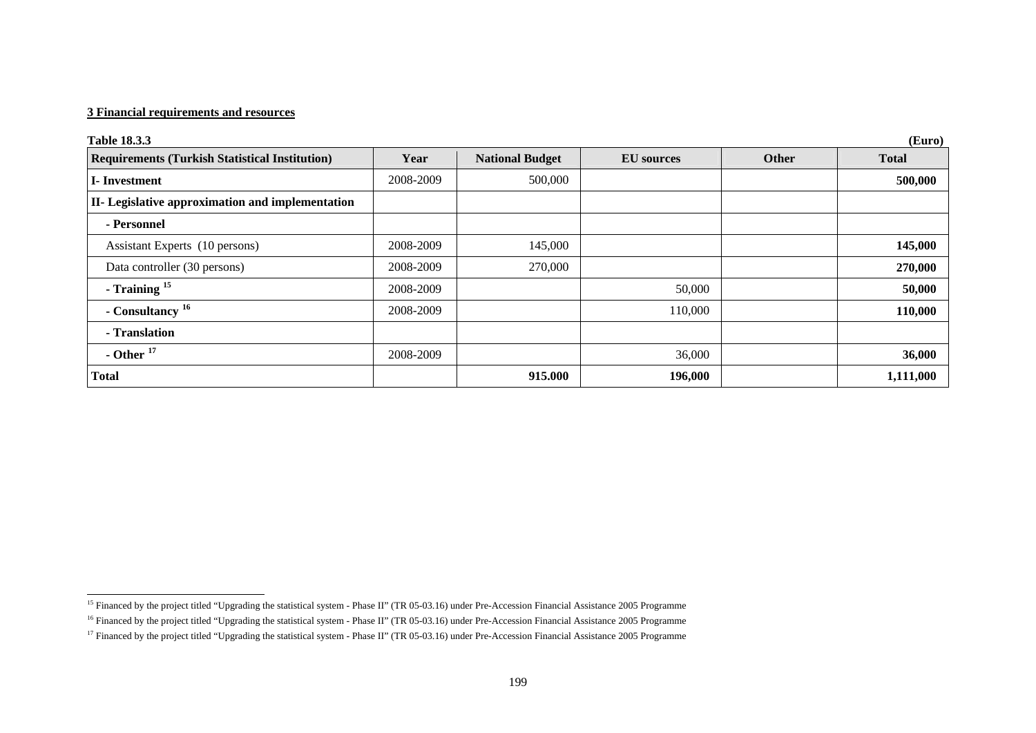| <b>Table 18.3.3</b><br>(Euro)                         |           |                        |                   |       |              |
|-------------------------------------------------------|-----------|------------------------|-------------------|-------|--------------|
| <b>Requirements (Turkish Statistical Institution)</b> | Year      | <b>National Budget</b> | <b>EU</b> sources | Other | <b>Total</b> |
| <b>I</b> -Investment                                  | 2008-2009 | 500,000                |                   |       | 500,000      |
| II- Legislative approximation and implementation      |           |                        |                   |       |              |
| - Personnel                                           |           |                        |                   |       |              |
| Assistant Experts (10 persons)                        | 2008-2009 | 145,000                |                   |       | 145,000      |
| Data controller (30 persons)                          | 2008-2009 | 270,000                |                   |       | 270,000      |
| - Training $15$                                       | 2008-2009 |                        | 50,000            |       | 50,000       |
| - Consultancy <sup>16</sup>                           | 2008-2009 |                        | 110,000           |       | 110,000      |
| - Translation                                         |           |                        |                   |       |              |
| - Other $17$                                          | 2008-2009 |                        | 36,000            |       | 36,000       |
| <b>Total</b>                                          |           | 915.000                | 196,000           |       | 1,111,000    |

<span id="page-7-0"></span><sup>&</sup>lt;sup>15</sup> Financed by the project titled "Upgrading the statistical system - Phase II" (TR 05-03.16) under Pre-Accession Financial Assistance 2005 Programme

<span id="page-7-1"></span><sup>&</sup>lt;sup>16</sup> Financed by the project titled "Upgrading the statistical system - Phase II" (TR 05-03.16) under Pre-Accession Financial Assistance 2005 Programme

<span id="page-7-2"></span><sup>&</sup>lt;sup>17</sup> Financed by the project titled "Upgrading the statistical system - Phase II" (TR 05-03.16) under Pre-Accession Financial Assistance 2005 Programme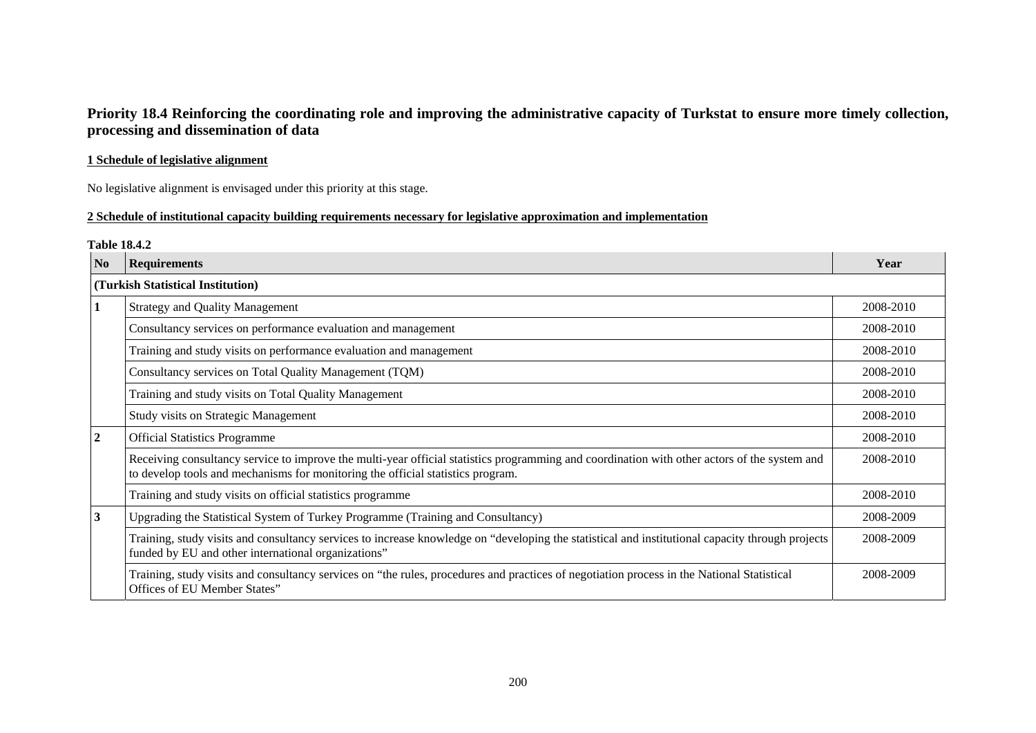# **Priority 18.4 Reinforcing the coordinating role and improving the administrative capacity of Turkstat to ensure more timely collection, processing and dissemination of data**

### **1 Schedule of legislative alignment**

No legislative alignment is envisaged under this priority at this stage.

### **2 Schedule of institutional capacity building requirements necessary for legislative approximation and implementation**

#### **Table 18.4.2**

| N <sub>o</sub>          | <b>Requirements</b>                                                                                                                                                                                                             | Year      |
|-------------------------|---------------------------------------------------------------------------------------------------------------------------------------------------------------------------------------------------------------------------------|-----------|
|                         | (Turkish Statistical Institution)                                                                                                                                                                                               |           |
| $\mathbf{1}$            | <b>Strategy and Quality Management</b>                                                                                                                                                                                          | 2008-2010 |
|                         | Consultancy services on performance evaluation and management                                                                                                                                                                   | 2008-2010 |
|                         | Training and study visits on performance evaluation and management                                                                                                                                                              | 2008-2010 |
|                         | Consultancy services on Total Quality Management (TQM)                                                                                                                                                                          | 2008-2010 |
|                         | Training and study visits on Total Quality Management                                                                                                                                                                           | 2008-2010 |
|                         | <b>Study visits on Strategic Management</b>                                                                                                                                                                                     | 2008-2010 |
| $\overline{2}$          | <b>Official Statistics Programme</b>                                                                                                                                                                                            | 2008-2010 |
|                         | Receiving consultancy service to improve the multi-year official statistics programming and coordination with other actors of the system and<br>to develop tools and mechanisms for monitoring the official statistics program. | 2008-2010 |
|                         | Training and study visits on official statistics programme                                                                                                                                                                      | 2008-2010 |
| $\overline{\mathbf{3}}$ | Upgrading the Statistical System of Turkey Programme (Training and Consultancy)                                                                                                                                                 | 2008-2009 |
|                         | Training, study visits and consultancy services to increase knowledge on "developing the statistical and institutional capacity through projects<br>funded by EU and other international organizations"                         | 2008-2009 |
|                         | Training, study visits and consultancy services on "the rules, procedures and practices of negotiation process in the National Statistical<br>Offices of EU Member States"                                                      | 2008-2009 |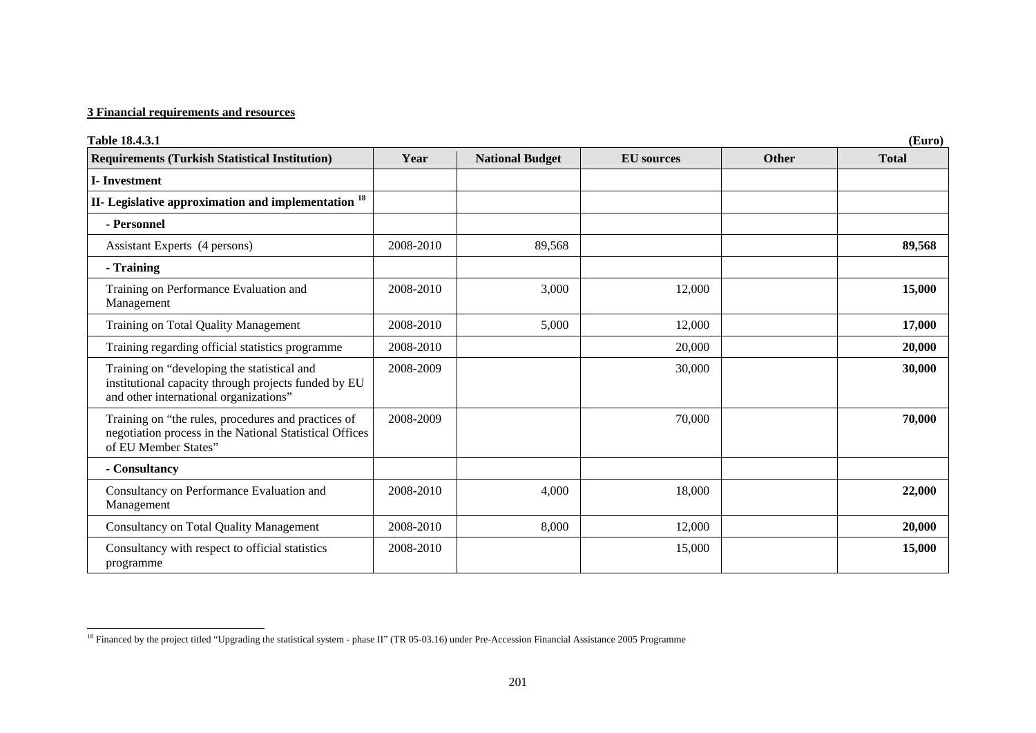| Table 18.4.3.1                                                                                                                                | (Euro)    |                        |                   |              |              |  |
|-----------------------------------------------------------------------------------------------------------------------------------------------|-----------|------------------------|-------------------|--------------|--------------|--|
| <b>Requirements (Turkish Statistical Institution)</b>                                                                                         | Year      | <b>National Budget</b> | <b>EU</b> sources | <b>Other</b> | <b>Total</b> |  |
| <b>I-Investment</b>                                                                                                                           |           |                        |                   |              |              |  |
| II- Legislative approximation and implementation <sup>18</sup>                                                                                |           |                        |                   |              |              |  |
| - Personnel                                                                                                                                   |           |                        |                   |              |              |  |
| Assistant Experts (4 persons)                                                                                                                 | 2008-2010 | 89,568                 |                   |              | 89,568       |  |
| - Training                                                                                                                                    |           |                        |                   |              |              |  |
| Training on Performance Evaluation and<br>Management                                                                                          | 2008-2010 | 3,000                  | 12,000            |              | 15,000       |  |
| Training on Total Quality Management                                                                                                          | 2008-2010 | 5,000                  | 12,000            |              | 17,000       |  |
| Training regarding official statistics programme                                                                                              | 2008-2010 |                        | 20,000            |              | 20,000       |  |
| Training on "developing the statistical and<br>institutional capacity through projects funded by EU<br>and other international organizations" | 2008-2009 |                        | 30,000            |              | 30,000       |  |
| Training on "the rules, procedures and practices of<br>negotiation process in the National Statistical Offices<br>of EU Member States"        | 2008-2009 |                        | 70,000            |              | 70,000       |  |
| - Consultancy                                                                                                                                 |           |                        |                   |              |              |  |
| Consultancy on Performance Evaluation and<br>Management                                                                                       | 2008-2010 | 4,000                  | 18,000            |              | 22,000       |  |
| <b>Consultancy on Total Quality Management</b>                                                                                                | 2008-2010 | 8,000                  | 12,000            |              | 20,000       |  |
| Consultancy with respect to official statistics<br>programme                                                                                  | 2008-2010 |                        | 15,000            |              | 15,000       |  |

<span id="page-9-0"></span><sup>&</sup>lt;sup>18</sup> Financed by the project titled "Upgrading the statistical system - phase II" (TR 05-03.16) under Pre-Accession Financial Assistance 2005 Programme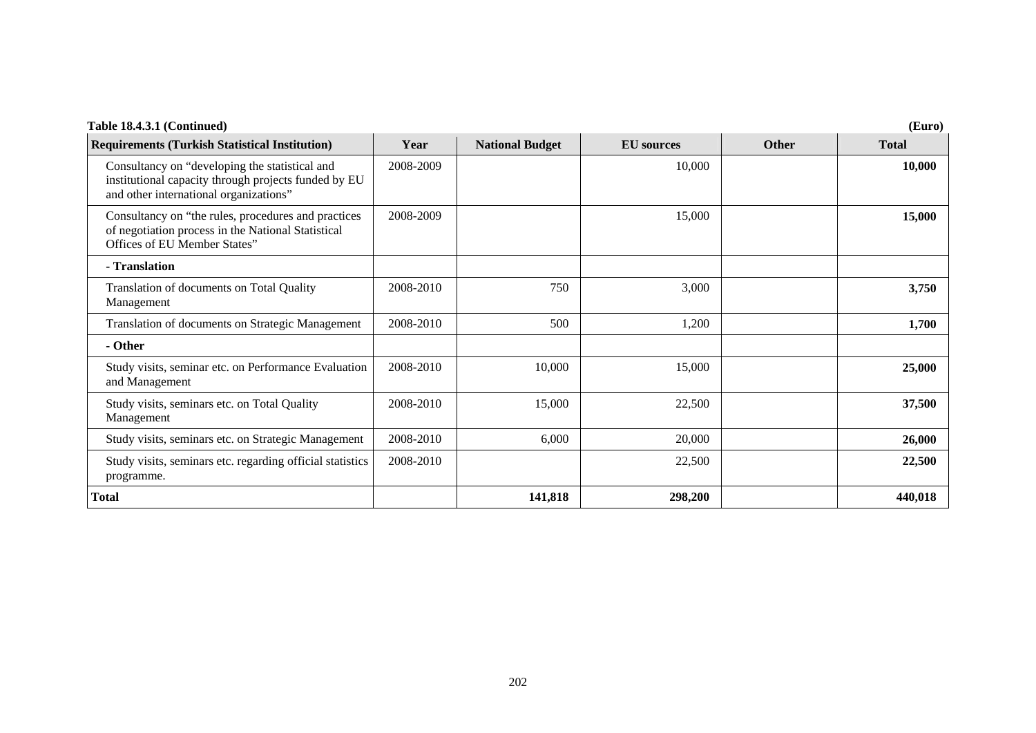| <b>Requirements (Turkish Statistical Institution)</b>                                                                                            | Year      | <b>National Budget</b> | <b>EU</b> sources | <b>Other</b> | <b>Total</b> |
|--------------------------------------------------------------------------------------------------------------------------------------------------|-----------|------------------------|-------------------|--------------|--------------|
| Consultancy on "developing the statistical and<br>institutional capacity through projects funded by EU<br>and other international organizations" | 2008-2009 |                        | 10,000            |              | 10,000       |
| Consultancy on "the rules, procedures and practices"<br>of negotiation process in the National Statistical<br>Offices of EU Member States"       | 2008-2009 |                        | 15,000            |              | 15,000       |
| - Translation                                                                                                                                    |           |                        |                   |              |              |
| Translation of documents on Total Quality<br>Management                                                                                          | 2008-2010 | 750                    | 3,000             |              | 3,750        |
| Translation of documents on Strategic Management                                                                                                 | 2008-2010 | 500                    | 1,200             |              | 1,700        |
| - Other                                                                                                                                          |           |                        |                   |              |              |
| Study visits, seminar etc. on Performance Evaluation<br>and Management                                                                           | 2008-2010 | 10,000                 | 15,000            |              | 25,000       |
| Study visits, seminars etc. on Total Quality<br>Management                                                                                       | 2008-2010 | 15,000                 | 22,500            |              | 37,500       |
| Study visits, seminars etc. on Strategic Management                                                                                              | 2008-2010 | 6,000                  | 20,000            |              | 26,000       |
| Study visits, seminars etc. regarding official statistics<br>programme.                                                                          | 2008-2010 |                        | 22,500            |              | 22,500       |
| Total                                                                                                                                            |           | 141,818                | 298,200           |              | 440,018      |